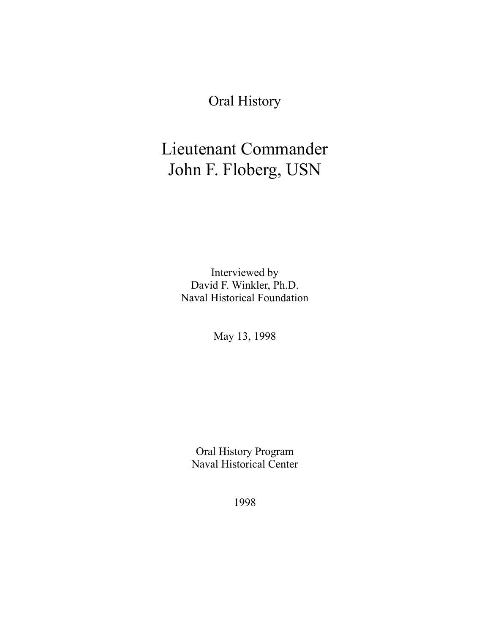Oral History

# Lieutenant Commander John F. Floberg, USN

Interviewed by David F. Winkler, Ph.D. Naval Historical Foundation

May 13, 1998

Oral History Program Naval Historical Center

1998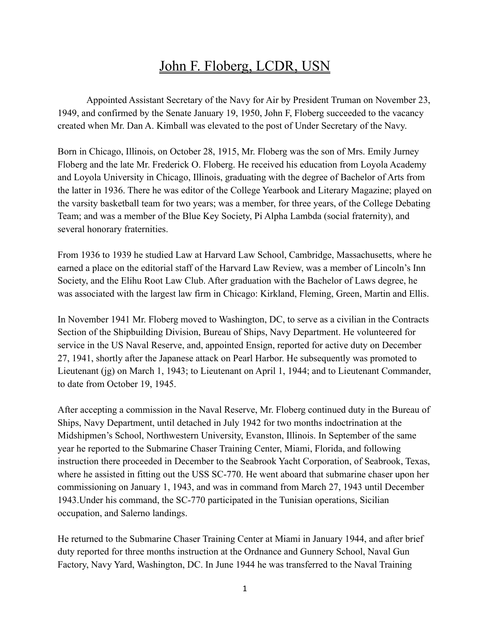## John F. Floberg, LCDR, USN

Appointed Assistant Secretary of the Navy for Air by President Truman on November 23, 1949, and confirmed by the Senate January 19, 1950, John F, Floberg succeeded to the vacancy created when Mr. Dan A. Kimball was elevated to the post of Under Secretary of the Navy.

Born in Chicago, Illinois, on October 28, 1915, Mr. Floberg was the son of Mrs. Emily Jurney Floberg and the late Mr. Frederick O. Floberg. He received his education from Loyola Academy and Loyola University in Chicago, Illinois, graduating with the degree of Bachelor of Arts from the latter in 1936. There he was editor of the College Yearbook and Literary Magazine; played on the varsity basketball team for two years; was a member, for three years, of the College Debating Team; and was a member of the Blue Key Society, Pi Alpha Lambda (social fraternity), and several honorary fraternities.

From 1936 to 1939 he studied Law at Harvard Law School, Cambridge, Massachusetts, where he earned a place on the editorial staff of the Harvard Law Review, was a member of Lincoln's Inn Society, and the Elihu Root Law Club. After graduation with the Bachelor of Laws degree, he was associated with the largest law firm in Chicago: Kirkland, Fleming, Green, Martin and Ellis.

In November 1941 Mr. Floberg moved to Washington, DC, to serve as a civilian in the Contracts Section of the Shipbuilding Division, Bureau of Ships, Navy Department. He volunteered for service in the US Naval Reserve, and, appointed Ensign, reported for active duty on December 27, 1941, shortly after the Japanese attack on Pearl Harbor. He subsequently was promoted to Lieutenant (jg) on March 1, 1943; to Lieutenant on April 1, 1944; and to Lieutenant Commander, to date from October 19, 1945.

After accepting a commission in the Naval Reserve, Mr. Floberg continued duty in the Bureau of Ships, Navy Department, until detached in July 1942 for two months indoctrination at the Midshipmen's School, Northwestern University, Evanston, Illinois. In September of the same year he reported to the Submarine Chaser Training Center, Miami, Florida, and following instruction there proceeded in December to the Seabrook Yacht Corporation, of Seabrook, Texas, where he assisted in fitting out the USS SC-770. He went aboard that submarine chaser upon her commissioning on January 1, 1943, and was in command from March 27, 1943 until December 1943.Under his command, the SC-770 participated in the Tunisian operations, Sicilian occupation, and Salerno landings.

He returned to the Submarine Chaser Training Center at Miami in January 1944, and after brief duty reported for three months instruction at the Ordnance and Gunnery School, Naval Gun Factory, Navy Yard, Washington, DC. In June 1944 he was transferred to the Naval Training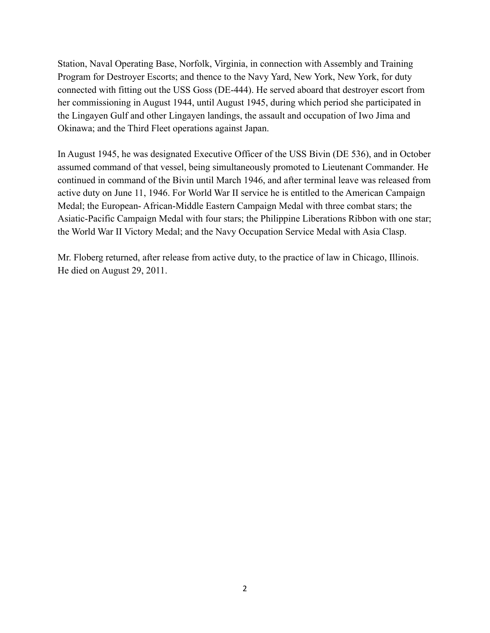Station, Naval Operating Base, Norfolk, Virginia, in connection with Assembly and Training Program for Destroyer Escorts; and thence to the Navy Yard, New York, New York, for duty connected with fitting out the USS Goss (DE-444). He served aboard that destroyer escort from her commissioning in August 1944, until August 1945, during which period she participated in the Lingayen Gulf and other Lingayen landings, the assault and occupation of Iwo Jima and Okinawa; and the Third Fleet operations against Japan.

In August 1945, he was designated Executive Officer of the USS Bivin (DE 536), and in October assumed command of that vessel, being simultaneously promoted to Lieutenant Commander. He continued in command of the Bivin until March 1946, and after terminal leave was released from active duty on June 11, 1946. For World War II service he is entitled to the American Campaign Medal; the European- African-Middle Eastern Campaign Medal with three combat stars; the Asiatic-Pacific Campaign Medal with four stars; the Philippine Liberations Ribbon with one star; the World War II Victory Medal; and the Navy Occupation Service Medal with Asia Clasp.

Mr. Floberg returned, after release from active duty, to the practice of law in Chicago, Illinois. He died on August 29, 2011.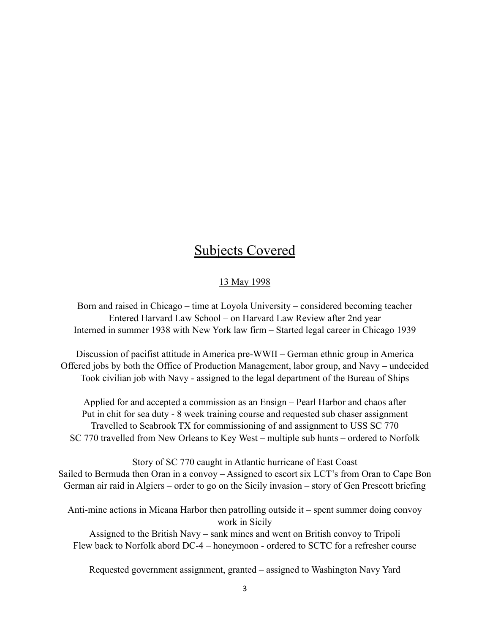### Subjects Covered

#### 13 May 1998

Born and raised in Chicago – time at Loyola University – considered becoming teacher Entered Harvard Law School – on Harvard Law Review after 2nd year Interned in summer 1938 with New York law firm – Started legal career in Chicago 1939

Discussion of pacifist attitude in America pre-WWII – German ethnic group in America Offered jobs by both the Office of Production Management, labor group, and Navy – undecided Took civilian job with Navy - assigned to the legal department of the Bureau of Ships

Applied for and accepted a commission as an Ensign – Pearl Harbor and chaos after Put in chit for sea duty - 8 week training course and requested sub chaser assignment Travelled to Seabrook TX for commissioning of and assignment to USS SC 770 SC 770 travelled from New Orleans to Key West – multiple sub hunts – ordered to Norfolk

Story of SC 770 caught in Atlantic hurricane of East Coast Sailed to Bermuda then Oran in a convoy – Assigned to escort six LCT's from Oran to Cape Bon German air raid in Algiers – order to go on the Sicily invasion – story of Gen Prescott briefing

Anti-mine actions in Micana Harbor then patrolling outside it – spent summer doing convoy work in Sicily

Assigned to the British Navy – sank mines and went on British convoy to Tripoli Flew back to Norfolk abord DC-4 – honeymoon - ordered to SCTC for a refresher course

Requested government assignment, granted – assigned to Washington Navy Yard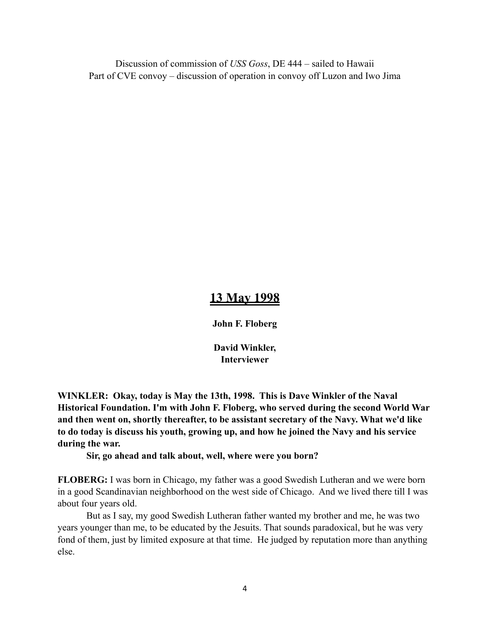Discussion of commission of *USS Goss*, DE 444 – sailed to Hawaii Part of CVE convoy – discussion of operation in convoy off Luzon and Iwo Jima

### **13 May 1998**

**John F. Floberg**

**David Winkler, Interviewer**

**WINKLER: Okay, today is May the 13th, 1998. This is Dave Winkler of the Naval Historical Foundation. I'm with John F. Floberg, who served during the second World War and then went on, shortly thereafter, to be assistant secretary of the Navy. What we'd like to do today is discuss his youth, growing up, and how he joined the Navy and his service during the war.** 

#### **Sir, go ahead and talk about, well, where were you born?**

**FLOBERG:** I was born in Chicago, my father was a good Swedish Lutheran and we were born in a good Scandinavian neighborhood on the west side of Chicago. And we lived there till I was about four years old.

But as I say, my good Swedish Lutheran father wanted my brother and me, he was two years younger than me, to be educated by the Jesuits. That sounds paradoxical, but he was very fond of them, just by limited exposure at that time. He judged by reputation more than anything else.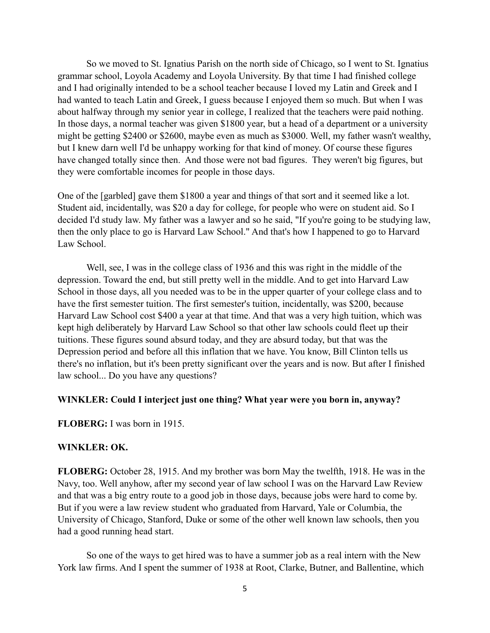So we moved to St. Ignatius Parish on the north side of Chicago, so I went to St. Ignatius grammar school, Loyola Academy and Loyola University. By that time I had finished college and I had originally intended to be a school teacher because I loved my Latin and Greek and I had wanted to teach Latin and Greek, I guess because I enjoyed them so much. But when I was about halfway through my senior year in college, I realized that the teachers were paid nothing. In those days, a normal teacher was given \$1800 year, but a head of a department or a university might be getting \$2400 or \$2600, maybe even as much as \$3000. Well, my father wasn't wealthy, but I knew darn well I'd be unhappy working for that kind of money. Of course these figures have changed totally since then. And those were not bad figures. They weren't big figures, but they were comfortable incomes for people in those days.

One of the [garbled] gave them \$1800 a year and things of that sort and it seemed like a lot. Student aid, incidentally, was \$20 a day for college, for people who were on student aid. So I decided I'd study law. My father was a lawyer and so he said, "If you're going to be studying law, then the only place to go is Harvard Law School." And that's how I happened to go to Harvard Law School.

Well, see, I was in the college class of 1936 and this was right in the middle of the depression. Toward the end, but still pretty well in the middle. And to get into Harvard Law School in those days, all you needed was to be in the upper quarter of your college class and to have the first semester tuition. The first semester's tuition, incidentally, was \$200, because Harvard Law School cost \$400 a year at that time. And that was a very high tuition, which was kept high deliberately by Harvard Law School so that other law schools could fleet up their tuitions. These figures sound absurd today, and they are absurd today, but that was the Depression period and before all this inflation that we have. You know, Bill Clinton tells us there's no inflation, but it's been pretty significant over the years and is now. But after I finished law school... Do you have any questions?

#### **WINKLER: Could I interject just one thing? What year were you born in, anyway?**

**FLOBERG:** I was born in 1915.

#### **WINKLER: OK.**

**FLOBERG:** October 28, 1915. And my brother was born May the twelfth, 1918. He was in the Navy, too. Well anyhow, after my second year of law school I was on the Harvard Law Review and that was a big entry route to a good job in those days, because jobs were hard to come by. But if you were a law review student who graduated from Harvard, Yale or Columbia, the University of Chicago, Stanford, Duke or some of the other well known law schools, then you had a good running head start.

So one of the ways to get hired was to have a summer job as a real intern with the New York law firms. And I spent the summer of 1938 at Root, Clarke, Butner, and Ballentine, which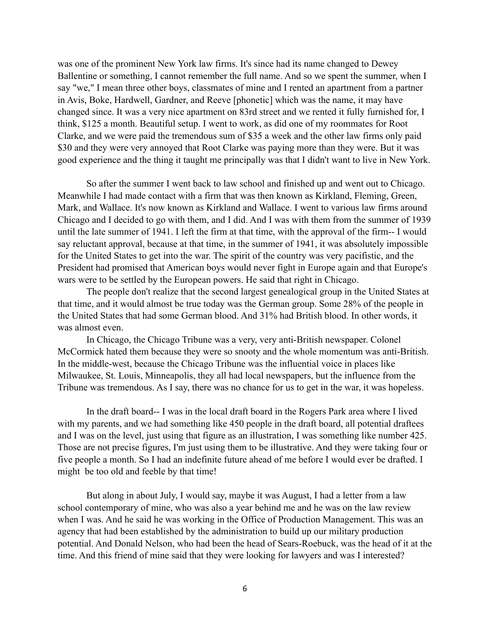was one of the prominent New York law firms. It's since had its name changed to Dewey Ballentine or something, I cannot remember the full name. And so we spent the summer, when I say "we," I mean three other boys, classmates of mine and I rented an apartment from a partner in Avis, Boke, Hardwell, Gardner, and Reeve [phonetic] which was the name, it may have changed since. It was a very nice apartment on 83rd street and we rented it fully furnished for, I think, \$125 a month. Beautiful setup. I went to work, as did one of my roommates for Root Clarke, and we were paid the tremendous sum of \$35 a week and the other law firms only paid \$30 and they were very annoyed that Root Clarke was paying more than they were. But it was good experience and the thing it taught me principally was that I didn't want to live in New York.

So after the summer I went back to law school and finished up and went out to Chicago. Meanwhile I had made contact with a firm that was then known as Kirkland, Fleming, Green, Mark, and Wallace. It's now known as Kirkland and Wallace. I went to various law firms around Chicago and I decided to go with them, and I did. And I was with them from the summer of 1939 until the late summer of 1941. I left the firm at that time, with the approval of the firm-- I would say reluctant approval, because at that time, in the summer of 1941, it was absolutely impossible for the United States to get into the war. The spirit of the country was very pacifistic, and the President had promised that American boys would never fight in Europe again and that Europe's wars were to be settled by the European powers. He said that right in Chicago.

The people don't realize that the second largest genealogical group in the United States at that time, and it would almost be true today was the German group. Some 28% of the people in the United States that had some German blood. And 31% had British blood. In other words, it was almost even.

In Chicago, the Chicago Tribune was a very, very anti-British newspaper. Colonel McCormick hated them because they were so snooty and the whole momentum was anti-British. In the middle-west, because the Chicago Tribune was the influential voice in places like Milwaukee, St. Louis, Minneapolis, they all had local newspapers, but the influence from the Tribune was tremendous. As I say, there was no chance for us to get in the war, it was hopeless.

In the draft board-- I was in the local draft board in the Rogers Park area where I lived with my parents, and we had something like 450 people in the draft board, all potential draftees and I was on the level, just using that figure as an illustration, I was something like number 425. Those are not precise figures, I'm just using them to be illustrative. And they were taking four or five people a month. So I had an indefinite future ahead of me before I would ever be drafted. I might be too old and feeble by that time!

But along in about July, I would say, maybe it was August, I had a letter from a law school contemporary of mine, who was also a year behind me and he was on the law review when I was. And he said he was working in the Office of Production Management. This was an agency that had been established by the administration to build up our military production potential. And Donald Nelson, who had been the head of Sears-Roebuck, was the head of it at the time. And this friend of mine said that they were looking for lawyers and was I interested?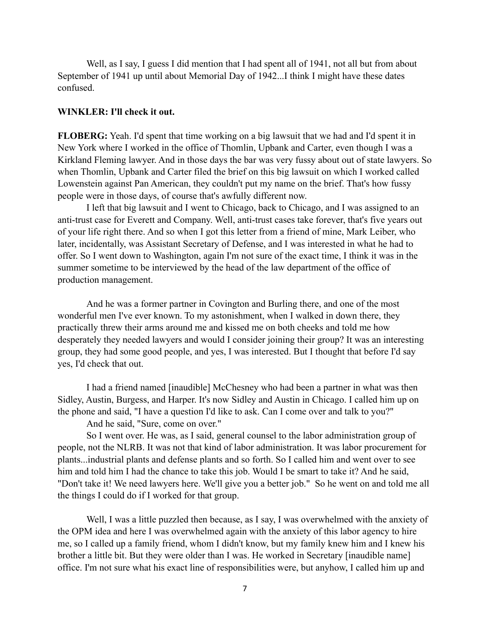Well, as I say, I guess I did mention that I had spent all of 1941, not all but from about September of 1941 up until about Memorial Day of 1942...I think I might have these dates confused.

#### **WINKLER: I'll check it out.**

**FLOBERG:** Yeah. I'd spent that time working on a big lawsuit that we had and I'd spent it in New York where I worked in the office of Thomlin, Upbank and Carter, even though I was a Kirkland Fleming lawyer. And in those days the bar was very fussy about out of state lawyers. So when Thomlin, Upbank and Carter filed the brief on this big lawsuit on which I worked called Lowenstein against Pan American, they couldn't put my name on the brief. That's how fussy people were in those days, of course that's awfully different now.

I left that big lawsuit and I went to Chicago, back to Chicago, and I was assigned to an anti-trust case for Everett and Company. Well, anti-trust cases take forever, that's five years out of your life right there. And so when I got this letter from a friend of mine, Mark Leiber, who later, incidentally, was Assistant Secretary of Defense, and I was interested in what he had to offer. So I went down to Washington, again I'm not sure of the exact time, I think it was in the summer sometime to be interviewed by the head of the law department of the office of production management.

And he was a former partner in Covington and Burling there, and one of the most wonderful men I've ever known. To my astonishment, when I walked in down there, they practically threw their arms around me and kissed me on both cheeks and told me how desperately they needed lawyers and would I consider joining their group? It was an interesting group, they had some good people, and yes, I was interested. But I thought that before I'd say yes, I'd check that out.

I had a friend named [inaudible] McChesney who had been a partner in what was then Sidley, Austin, Burgess, and Harper. It's now Sidley and Austin in Chicago. I called him up on the phone and said, "I have a question I'd like to ask. Can I come over and talk to you?"

And he said, "Sure, come on over."

So I went over. He was, as I said, general counsel to the labor administration group of people, not the NLRB. It was not that kind of labor administration. It was labor procurement for plants...industrial plants and defense plants and so forth. So I called him and went over to see him and told him I had the chance to take this job. Would I be smart to take it? And he said, "Don't take it! We need lawyers here. We'll give you a better job." So he went on and told me all the things I could do if I worked for that group.

Well, I was a little puzzled then because, as I say, I was overwhelmed with the anxiety of the OPM idea and here I was overwhelmed again with the anxiety of this labor agency to hire me, so I called up a family friend, whom I didn't know, but my family knew him and I knew his brother a little bit. But they were older than I was. He worked in Secretary [inaudible name] office. I'm not sure what his exact line of responsibilities were, but anyhow, I called him up and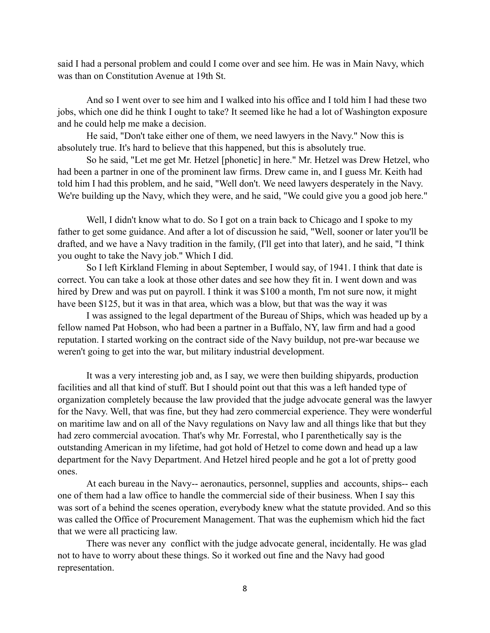said I had a personal problem and could I come over and see him. He was in Main Navy, which was than on Constitution Avenue at 19th St.

And so I went over to see him and I walked into his office and I told him I had these two jobs, which one did he think I ought to take? It seemed like he had a lot of Washington exposure and he could help me make a decision.

He said, "Don't take either one of them, we need lawyers in the Navy." Now this is absolutely true. It's hard to believe that this happened, but this is absolutely true.

So he said, "Let me get Mr. Hetzel [phonetic] in here." Mr. Hetzel was Drew Hetzel, who had been a partner in one of the prominent law firms. Drew came in, and I guess Mr. Keith had told him I had this problem, and he said, "Well don't. We need lawyers desperately in the Navy. We're building up the Navy, which they were, and he said, "We could give you a good job here."

Well, I didn't know what to do. So I got on a train back to Chicago and I spoke to my father to get some guidance. And after a lot of discussion he said, "Well, sooner or later you'll be drafted, and we have a Navy tradition in the family, (I'll get into that later), and he said, "I think you ought to take the Navy job." Which I did.

So I left Kirkland Fleming in about September, I would say, of 1941. I think that date is correct. You can take a look at those other dates and see how they fit in. I went down and was hired by Drew and was put on payroll. I think it was \$100 a month, I'm not sure now, it might have been \$125, but it was in that area, which was a blow, but that was the way it was

I was assigned to the legal department of the Bureau of Ships, which was headed up by a fellow named Pat Hobson, who had been a partner in a Buffalo, NY, law firm and had a good reputation. I started working on the contract side of the Navy buildup, not pre-war because we weren't going to get into the war, but military industrial development.

It was a very interesting job and, as I say, we were then building shipyards, production facilities and all that kind of stuff. But I should point out that this was a left handed type of organization completely because the law provided that the judge advocate general was the lawyer for the Navy. Well, that was fine, but they had zero commercial experience. They were wonderful on maritime law and on all of the Navy regulations on Navy law and all things like that but they had zero commercial avocation. That's why Mr. Forrestal, who I parenthetically say is the outstanding American in my lifetime, had got hold of Hetzel to come down and head up a law department for the Navy Department. And Hetzel hired people and he got a lot of pretty good ones.

At each bureau in the Navy-- aeronautics, personnel, supplies and accounts, ships-- each one of them had a law office to handle the commercial side of their business. When I say this was sort of a behind the scenes operation, everybody knew what the statute provided. And so this was called the Office of Procurement Management. That was the euphemism which hid the fact that we were all practicing law.

There was never any conflict with the judge advocate general, incidentally. He was glad not to have to worry about these things. So it worked out fine and the Navy had good representation.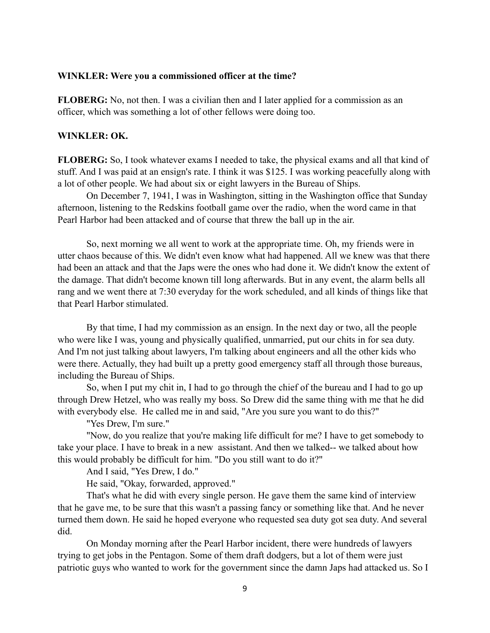#### **WINKLER: Were you a commissioned officer at the time?**

**FLOBERG:** No, not then. I was a civilian then and I later applied for a commission as an officer, which was something a lot of other fellows were doing too.

#### **WINKLER: OK.**

**FLOBERG:** So, I took whatever exams I needed to take, the physical exams and all that kind of stuff. And I was paid at an ensign's rate. I think it was \$125. I was working peacefully along with a lot of other people. We had about six or eight lawyers in the Bureau of Ships.

On December 7, 1941, I was in Washington, sitting in the Washington office that Sunday afternoon, listening to the Redskins football game over the radio, when the word came in that Pearl Harbor had been attacked and of course that threw the ball up in the air.

So, next morning we all went to work at the appropriate time. Oh, my friends were in utter chaos because of this. We didn't even know what had happened. All we knew was that there had been an attack and that the Japs were the ones who had done it. We didn't know the extent of the damage. That didn't become known till long afterwards. But in any event, the alarm bells all rang and we went there at 7:30 everyday for the work scheduled, and all kinds of things like that that Pearl Harbor stimulated.

By that time, I had my commission as an ensign. In the next day or two, all the people who were like I was, young and physically qualified, unmarried, put our chits in for sea duty. And I'm not just talking about lawyers, I'm talking about engineers and all the other kids who were there. Actually, they had built up a pretty good emergency staff all through those bureaus, including the Bureau of Ships.

So, when I put my chit in, I had to go through the chief of the bureau and I had to go up through Drew Hetzel, who was really my boss. So Drew did the same thing with me that he did with everybody else. He called me in and said, "Are you sure you want to do this?"

"Yes Drew, I'm sure."

"Now, do you realize that you're making life difficult for me? I have to get somebody to take your place. I have to break in a new assistant. And then we talked-- we talked about how this would probably be difficult for him. "Do you still want to do it?"

And I said, "Yes Drew, I do."

He said, "Okay, forwarded, approved."

That's what he did with every single person. He gave them the same kind of interview that he gave me, to be sure that this wasn't a passing fancy or something like that. And he never turned them down. He said he hoped everyone who requested sea duty got sea duty. And several did.

On Monday morning after the Pearl Harbor incident, there were hundreds of lawyers trying to get jobs in the Pentagon. Some of them draft dodgers, but a lot of them were just patriotic guys who wanted to work for the government since the damn Japs had attacked us. So I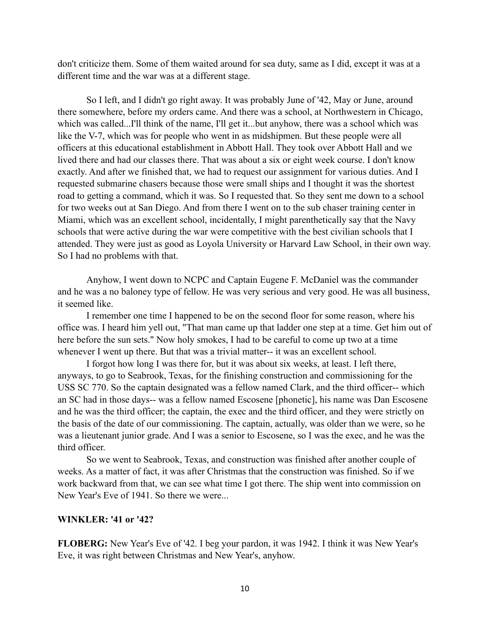don't criticize them. Some of them waited around for sea duty, same as I did, except it was at a different time and the war was at a different stage.

So I left, and I didn't go right away. It was probably June of '42, May or June, around there somewhere, before my orders came. And there was a school, at Northwestern in Chicago, which was called...I'll think of the name, I'll get it...but anyhow, there was a school which was like the V-7, which was for people who went in as midshipmen. But these people were all officers at this educational establishment in Abbott Hall. They took over Abbott Hall and we lived there and had our classes there. That was about a six or eight week course. I don't know exactly. And after we finished that, we had to request our assignment for various duties. And I requested submarine chasers because those were small ships and I thought it was the shortest road to getting a command, which it was. So I requested that. So they sent me down to a school for two weeks out at San Diego. And from there I went on to the sub chaser training center in Miami, which was an excellent school, incidentally, I might parenthetically say that the Navy schools that were active during the war were competitive with the best civilian schools that I attended. They were just as good as Loyola University or Harvard Law School, in their own way. So I had no problems with that.

Anyhow, I went down to NCPC and Captain Eugene F. McDaniel was the commander and he was a no baloney type of fellow. He was very serious and very good. He was all business, it seemed like.

I remember one time I happened to be on the second floor for some reason, where his office was. I heard him yell out, "That man came up that ladder one step at a time. Get him out of here before the sun sets." Now holy smokes, I had to be careful to come up two at a time whenever I went up there. But that was a trivial matter-- it was an excellent school.

I forgot how long I was there for, but it was about six weeks, at least. I left there, anyways, to go to Seabrook, Texas, for the finishing construction and commissioning for the USS SC 770. So the captain designated was a fellow named Clark, and the third officer-- which an SC had in those days-- was a fellow named Escosene [phonetic], his name was Dan Escosene and he was the third officer; the captain, the exec and the third officer, and they were strictly on the basis of the date of our commissioning. The captain, actually, was older than we were, so he was a lieutenant junior grade. And I was a senior to Escosene, so I was the exec, and he was the third officer.

So we went to Seabrook, Texas, and construction was finished after another couple of weeks. As a matter of fact, it was after Christmas that the construction was finished. So if we work backward from that, we can see what time I got there. The ship went into commission on New Year's Eve of 1941. So there we were...

#### **WINKLER: '41 or '42?**

**FLOBERG:** New Year's Eve of '42. I beg your pardon, it was 1942. I think it was New Year's Eve, it was right between Christmas and New Year's, anyhow.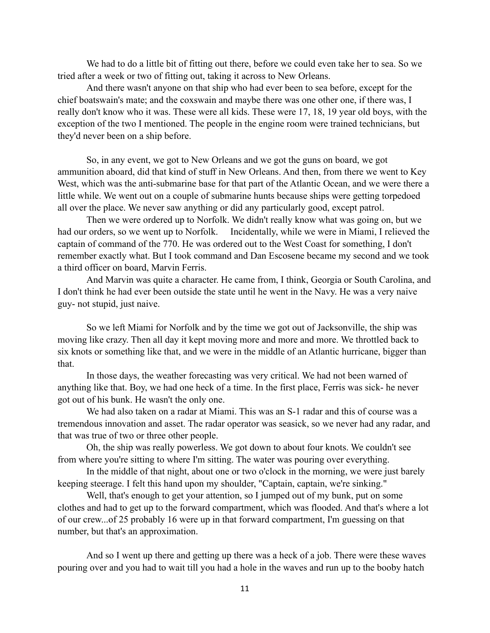We had to do a little bit of fitting out there, before we could even take her to sea. So we tried after a week or two of fitting out, taking it across to New Orleans.

And there wasn't anyone on that ship who had ever been to sea before, except for the chief boatswain's mate; and the coxswain and maybe there was one other one, if there was, I really don't know who it was. These were all kids. These were 17, 18, 19 year old boys, with the exception of the two I mentioned. The people in the engine room were trained technicians, but they'd never been on a ship before.

So, in any event, we got to New Orleans and we got the guns on board, we got ammunition aboard, did that kind of stuff in New Orleans. And then, from there we went to Key West, which was the anti-submarine base for that part of the Atlantic Ocean, and we were there a little while. We went out on a couple of submarine hunts because ships were getting torpedoed all over the place. We never saw anything or did any particularly good, except patrol.

Then we were ordered up to Norfolk. We didn't really know what was going on, but we had our orders, so we went up to Norfolk. Incidentally, while we were in Miami, I relieved the captain of command of the 770. He was ordered out to the West Coast for something, I don't remember exactly what. But I took command and Dan Escosene became my second and we took a third officer on board, Marvin Ferris.

And Marvin was quite a character. He came from, I think, Georgia or South Carolina, and I don't think he had ever been outside the state until he went in the Navy. He was a very naive guy- not stupid, just naive.

So we left Miami for Norfolk and by the time we got out of Jacksonville, the ship was moving like crazy. Then all day it kept moving more and more and more. We throttled back to six knots or something like that, and we were in the middle of an Atlantic hurricane, bigger than that.

In those days, the weather forecasting was very critical. We had not been warned of anything like that. Boy, we had one heck of a time. In the first place, Ferris was sick- he never got out of his bunk. He wasn't the only one.

We had also taken on a radar at Miami. This was an S-1 radar and this of course was a tremendous innovation and asset. The radar operator was seasick, so we never had any radar, and that was true of two or three other people.

Oh, the ship was really powerless. We got down to about four knots. We couldn't see from where you're sitting to where I'm sitting. The water was pouring over everything.

In the middle of that night, about one or two o'clock in the morning, we were just barely keeping steerage. I felt this hand upon my shoulder, "Captain, captain, we're sinking."

Well, that's enough to get your attention, so I jumped out of my bunk, put on some clothes and had to get up to the forward compartment, which was flooded. And that's where a lot of our crew...of 25 probably 16 were up in that forward compartment, I'm guessing on that number, but that's an approximation.

And so I went up there and getting up there was a heck of a job. There were these waves pouring over and you had to wait till you had a hole in the waves and run up to the booby hatch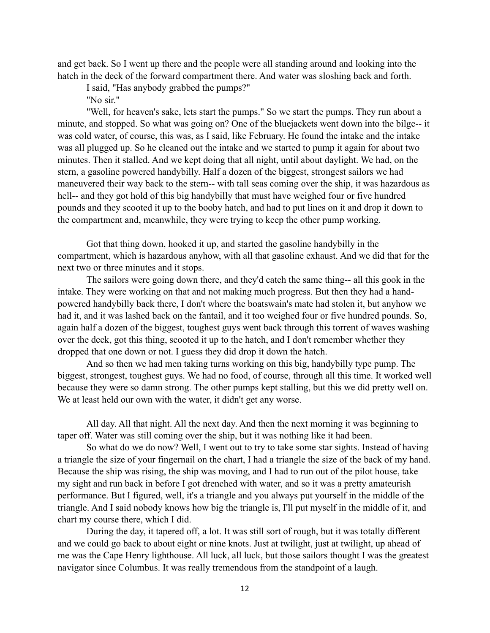and get back. So I went up there and the people were all standing around and looking into the hatch in the deck of the forward compartment there. And water was sloshing back and forth.

I said, "Has anybody grabbed the pumps?"

"No sir."

"Well, for heaven's sake, lets start the pumps." So we start the pumps. They run about a minute, and stopped. So what was going on? One of the bluejackets went down into the bilge-- it was cold water, of course, this was, as I said, like February. He found the intake and the intake was all plugged up. So he cleaned out the intake and we started to pump it again for about two minutes. Then it stalled. And we kept doing that all night, until about daylight. We had, on the stern, a gasoline powered handybilly. Half a dozen of the biggest, strongest sailors we had maneuvered their way back to the stern-- with tall seas coming over the ship, it was hazardous as hell-- and they got hold of this big handybilly that must have weighed four or five hundred pounds and they scooted it up to the booby hatch, and had to put lines on it and drop it down to the compartment and, meanwhile, they were trying to keep the other pump working.

Got that thing down, hooked it up, and started the gasoline handybilly in the compartment, which is hazardous anyhow, with all that gasoline exhaust. And we did that for the next two or three minutes and it stops.

The sailors were going down there, and they'd catch the same thing-- all this gook in the intake. They were working on that and not making much progress. But then they had a handpowered handybilly back there, I don't where the boatswain's mate had stolen it, but anyhow we had it, and it was lashed back on the fantail, and it too weighed four or five hundred pounds. So, again half a dozen of the biggest, toughest guys went back through this torrent of waves washing over the deck, got this thing, scooted it up to the hatch, and I don't remember whether they dropped that one down or not. I guess they did drop it down the hatch.

And so then we had men taking turns working on this big, handybilly type pump. The biggest, strongest, toughest guys. We had no food, of course, through all this time. It worked well because they were so damn strong. The other pumps kept stalling, but this we did pretty well on. We at least held our own with the water, it didn't get any worse.

All day. All that night. All the next day. And then the next morning it was beginning to taper off. Water was still coming over the ship, but it was nothing like it had been.

So what do we do now? Well, I went out to try to take some star sights. Instead of having a triangle the size of your fingernail on the chart, I had a triangle the size of the back of my hand. Because the ship was rising, the ship was moving, and I had to run out of the pilot house, take my sight and run back in before I got drenched with water, and so it was a pretty amateurish performance. But I figured, well, it's a triangle and you always put yourself in the middle of the triangle. And I said nobody knows how big the triangle is, I'll put myself in the middle of it, and chart my course there, which I did.

During the day, it tapered off, a lot. It was still sort of rough, but it was totally different and we could go back to about eight or nine knots. Just at twilight, just at twilight, up ahead of me was the Cape Henry lighthouse. All luck, all luck, but those sailors thought I was the greatest navigator since Columbus. It was really tremendous from the standpoint of a laugh.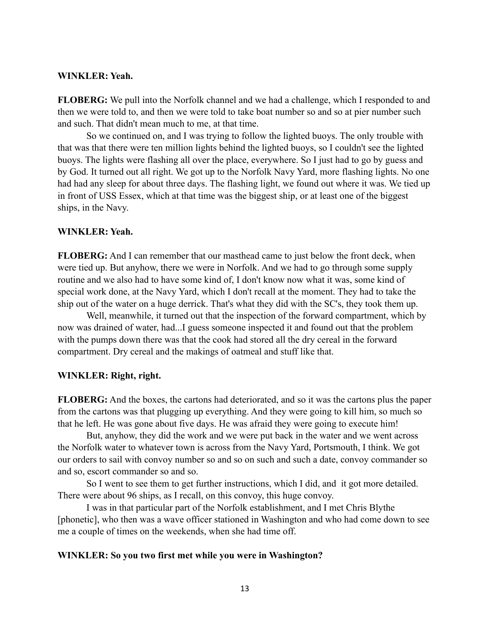#### **WINKLER: Yeah.**

**FLOBERG:** We pull into the Norfolk channel and we had a challenge, which I responded to and then we were told to, and then we were told to take boat number so and so at pier number such and such. That didn't mean much to me, at that time.

So we continued on, and I was trying to follow the lighted buoys. The only trouble with that was that there were ten million lights behind the lighted buoys, so I couldn't see the lighted buoys. The lights were flashing all over the place, everywhere. So I just had to go by guess and by God. It turned out all right. We got up to the Norfolk Navy Yard, more flashing lights. No one had had any sleep for about three days. The flashing light, we found out where it was. We tied up in front of USS Essex, which at that time was the biggest ship, or at least one of the biggest ships, in the Navy.

#### **WINKLER: Yeah.**

**FLOBERG:** And I can remember that our masthead came to just below the front deck, when were tied up. But anyhow, there we were in Norfolk. And we had to go through some supply routine and we also had to have some kind of, I don't know now what it was, some kind of special work done, at the Navy Yard, which I don't recall at the moment. They had to take the ship out of the water on a huge derrick. That's what they did with the SC's, they took them up.

Well, meanwhile, it turned out that the inspection of the forward compartment, which by now was drained of water, had...I guess someone inspected it and found out that the problem with the pumps down there was that the cook had stored all the dry cereal in the forward compartment. Dry cereal and the makings of oatmeal and stuff like that.

#### **WINKLER: Right, right.**

**FLOBERG:** And the boxes, the cartons had deteriorated, and so it was the cartons plus the paper from the cartons was that plugging up everything. And they were going to kill him, so much so that he left. He was gone about five days. He was afraid they were going to execute him!

But, anyhow, they did the work and we were put back in the water and we went across the Norfolk water to whatever town is across from the Navy Yard, Portsmouth, I think. We got our orders to sail with convoy number so and so on such and such a date, convoy commander so and so, escort commander so and so.

So I went to see them to get further instructions, which I did, and it got more detailed. There were about 96 ships, as I recall, on this convoy, this huge convoy.

I was in that particular part of the Norfolk establishment, and I met Chris Blythe [phonetic], who then was a wave officer stationed in Washington and who had come down to see me a couple of times on the weekends, when she had time off.

#### **WINKLER: So you two first met while you were in Washington?**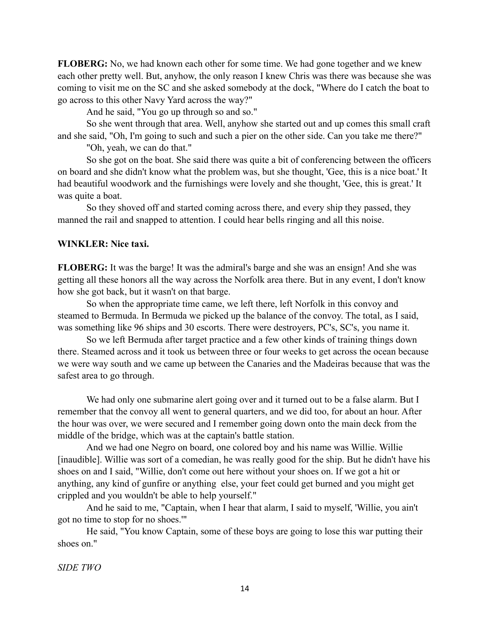**FLOBERG:** No, we had known each other for some time. We had gone together and we knew each other pretty well. But, anyhow, the only reason I knew Chris was there was because she was coming to visit me on the SC and she asked somebody at the dock, "Where do I catch the boat to go across to this other Navy Yard across the way?"

And he said, "You go up through so and so."

So she went through that area. Well, anyhow she started out and up comes this small craft and she said, "Oh, I'm going to such and such a pier on the other side. Can you take me there?"

"Oh, yeah, we can do that."

So she got on the boat. She said there was quite a bit of conferencing between the officers on board and she didn't know what the problem was, but she thought, 'Gee, this is a nice boat.' It had beautiful woodwork and the furnishings were lovely and she thought, 'Gee, this is great.' It was quite a boat.

So they shoved off and started coming across there, and every ship they passed, they manned the rail and snapped to attention. I could hear bells ringing and all this noise.

#### **WINKLER: Nice taxi.**

**FLOBERG:** It was the barge! It was the admiral's barge and she was an ensign! And she was getting all these honors all the way across the Norfolk area there. But in any event, I don't know how she got back, but it wasn't on that barge.

So when the appropriate time came, we left there, left Norfolk in this convoy and steamed to Bermuda. In Bermuda we picked up the balance of the convoy. The total, as I said, was something like 96 ships and 30 escorts. There were destroyers, PC's, SC's, you name it.

So we left Bermuda after target practice and a few other kinds of training things down there. Steamed across and it took us between three or four weeks to get across the ocean because we were way south and we came up between the Canaries and the Madeiras because that was the safest area to go through.

We had only one submarine alert going over and it turned out to be a false alarm. But I remember that the convoy all went to general quarters, and we did too, for about an hour. After the hour was over, we were secured and I remember going down onto the main deck from the middle of the bridge, which was at the captain's battle station.

And we had one Negro on board, one colored boy and his name was Willie. Willie [inaudible]. Willie was sort of a comedian, he was really good for the ship. But he didn't have his shoes on and I said, "Willie, don't come out here without your shoes on. If we got a hit or anything, any kind of gunfire or anything else, your feet could get burned and you might get crippled and you wouldn't be able to help yourself."

And he said to me, "Captain, when I hear that alarm, I said to myself, 'Willie, you ain't got no time to stop for no shoes.'"

He said, "You know Captain, some of these boys are going to lose this war putting their shoes on."

*SIDE TWO*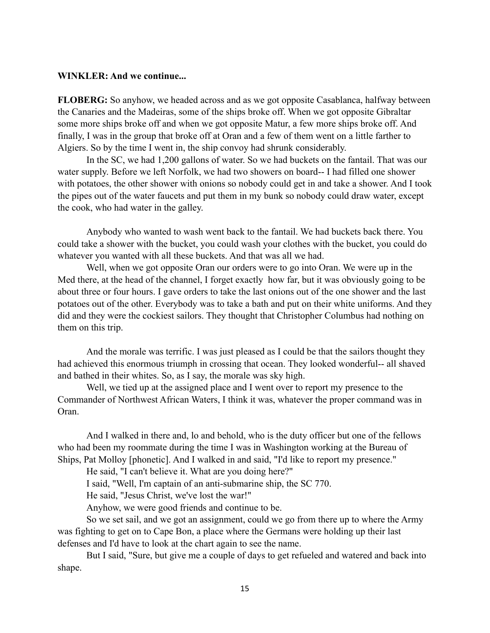#### **WINKLER: And we continue...**

**FLOBERG:** So anyhow, we headed across and as we got opposite Casablanca, halfway between the Canaries and the Madeiras, some of the ships broke off. When we got opposite Gibraltar some more ships broke off and when we got opposite Matur, a few more ships broke off. And finally, I was in the group that broke off at Oran and a few of them went on a little farther to Algiers. So by the time I went in, the ship convoy had shrunk considerably.

In the SC, we had 1,200 gallons of water. So we had buckets on the fantail. That was our water supply. Before we left Norfolk, we had two showers on board-- I had filled one shower with potatoes, the other shower with onions so nobody could get in and take a shower. And I took the pipes out of the water faucets and put them in my bunk so nobody could draw water, except the cook, who had water in the galley.

Anybody who wanted to wash went back to the fantail. We had buckets back there. You could take a shower with the bucket, you could wash your clothes with the bucket, you could do whatever you wanted with all these buckets. And that was all we had.

Well, when we got opposite Oran our orders were to go into Oran. We were up in the Med there, at the head of the channel, I forget exactly how far, but it was obviously going to be about three or four hours. I gave orders to take the last onions out of the one shower and the last potatoes out of the other. Everybody was to take a bath and put on their white uniforms. And they did and they were the cockiest sailors. They thought that Christopher Columbus had nothing on them on this trip.

And the morale was terrific. I was just pleased as I could be that the sailors thought they had achieved this enormous triumph in crossing that ocean. They looked wonderful-- all shaved and bathed in their whites. So, as I say, the morale was sky high.

Well, we tied up at the assigned place and I went over to report my presence to the Commander of Northwest African Waters, I think it was, whatever the proper command was in Oran.

And I walked in there and, lo and behold, who is the duty officer but one of the fellows who had been my roommate during the time I was in Washington working at the Bureau of Ships, Pat Molloy [phonetic]. And I walked in and said, "I'd like to report my presence."

He said, "I can't believe it. What are you doing here?"

I said, "Well, I'm captain of an anti-submarine ship, the SC 770.

He said, "Jesus Christ, we've lost the war!"

Anyhow, we were good friends and continue to be.

So we set sail, and we got an assignment, could we go from there up to where the Army was fighting to get on to Cape Bon, a place where the Germans were holding up their last defenses and I'd have to look at the chart again to see the name.

But I said, "Sure, but give me a couple of days to get refueled and watered and back into shape.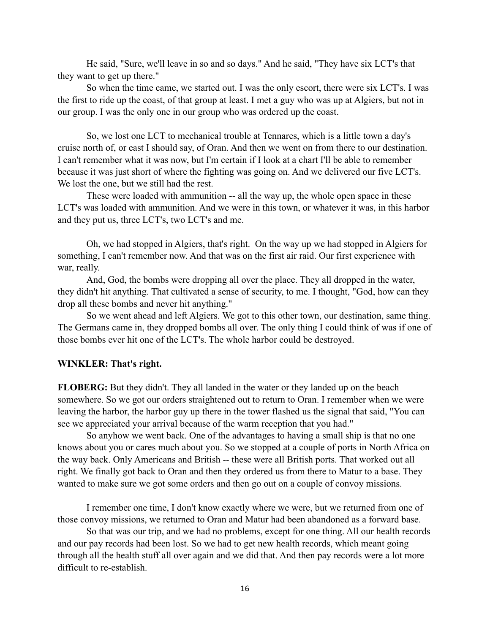He said, "Sure, we'll leave in so and so days." And he said, "They have six LCT's that they want to get up there."

So when the time came, we started out. I was the only escort, there were six LCT's. I was the first to ride up the coast, of that group at least. I met a guy who was up at Algiers, but not in our group. I was the only one in our group who was ordered up the coast.

So, we lost one LCT to mechanical trouble at Tennares, which is a little town a day's cruise north of, or east I should say, of Oran. And then we went on from there to our destination. I can't remember what it was now, but I'm certain if I look at a chart I'll be able to remember because it was just short of where the fighting was going on. And we delivered our five LCT's. We lost the one, but we still had the rest.

These were loaded with ammunition -- all the way up, the whole open space in these LCT's was loaded with ammunition. And we were in this town, or whatever it was, in this harbor and they put us, three LCT's, two LCT's and me.

Oh, we had stopped in Algiers, that's right. On the way up we had stopped in Algiers for something, I can't remember now. And that was on the first air raid. Our first experience with war, really.

And, God, the bombs were dropping all over the place. They all dropped in the water, they didn't hit anything. That cultivated a sense of security, to me. I thought, "God, how can they drop all these bombs and never hit anything."

So we went ahead and left Algiers. We got to this other town, our destination, same thing. The Germans came in, they dropped bombs all over. The only thing I could think of was if one of those bombs ever hit one of the LCT's. The whole harbor could be destroyed.

#### **WINKLER: That's right.**

**FLOBERG:** But they didn't. They all landed in the water or they landed up on the beach somewhere. So we got our orders straightened out to return to Oran. I remember when we were leaving the harbor, the harbor guy up there in the tower flashed us the signal that said, "You can see we appreciated your arrival because of the warm reception that you had."

So anyhow we went back. One of the advantages to having a small ship is that no one knows about you or cares much about you. So we stopped at a couple of ports in North Africa on the way back. Only Americans and British -- these were all British ports. That worked out all right. We finally got back to Oran and then they ordered us from there to Matur to a base. They wanted to make sure we got some orders and then go out on a couple of convoy missions.

I remember one time, I don't know exactly where we were, but we returned from one of those convoy missions, we returned to Oran and Matur had been abandoned as a forward base.

So that was our trip, and we had no problems, except for one thing. All our health records and our pay records had been lost. So we had to get new health records, which meant going through all the health stuff all over again and we did that. And then pay records were a lot more difficult to re-establish.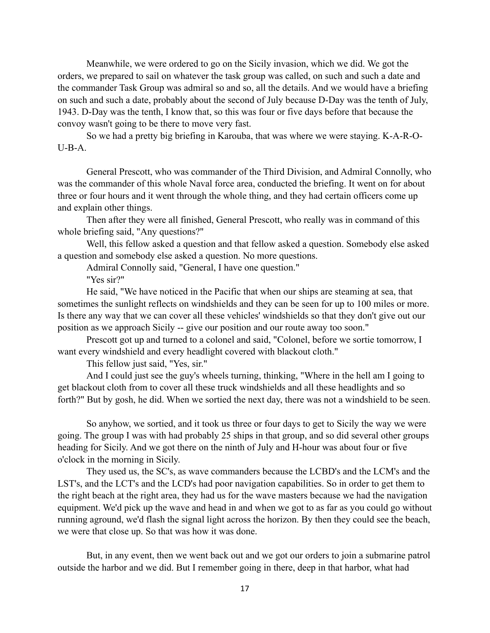Meanwhile, we were ordered to go on the Sicily invasion, which we did. We got the orders, we prepared to sail on whatever the task group was called, on such and such a date and the commander Task Group was admiral so and so, all the details. And we would have a briefing on such and such a date, probably about the second of July because D-Day was the tenth of July, 1943. D-Day was the tenth, I know that, so this was four or five days before that because the convoy wasn't going to be there to move very fast.

So we had a pretty big briefing in Karouba, that was where we were staying. K-A-R-O- $U-B-A$ 

General Prescott, who was commander of the Third Division, and Admiral Connolly, who was the commander of this whole Naval force area, conducted the briefing. It went on for about three or four hours and it went through the whole thing, and they had certain officers come up and explain other things.

Then after they were all finished, General Prescott, who really was in command of this whole briefing said, "Any questions?"

Well, this fellow asked a question and that fellow asked a question. Somebody else asked a question and somebody else asked a question. No more questions.

Admiral Connolly said, "General, I have one question."

"Yes sir?"

He said, "We have noticed in the Pacific that when our ships are steaming at sea, that sometimes the sunlight reflects on windshields and they can be seen for up to 100 miles or more. Is there any way that we can cover all these vehicles' windshields so that they don't give out our position as we approach Sicily -- give our position and our route away too soon."

Prescott got up and turned to a colonel and said, "Colonel, before we sortie tomorrow, I want every windshield and every headlight covered with blackout cloth."

This fellow just said, "Yes, sir."

And I could just see the guy's wheels turning, thinking, "Where in the hell am I going to get blackout cloth from to cover all these truck windshields and all these headlights and so forth?" But by gosh, he did. When we sortied the next day, there was not a windshield to be seen.

So anyhow, we sortied, and it took us three or four days to get to Sicily the way we were going. The group I was with had probably 25 ships in that group, and so did several other groups heading for Sicily. And we got there on the ninth of July and H-hour was about four or five o'clock in the morning in Sicily.

They used us, the SC's, as wave commanders because the LCBD's and the LCM's and the LST's, and the LCT's and the LCD's had poor navigation capabilities. So in order to get them to the right beach at the right area, they had us for the wave masters because we had the navigation equipment. We'd pick up the wave and head in and when we got to as far as you could go without running aground, we'd flash the signal light across the horizon. By then they could see the beach, we were that close up. So that was how it was done.

But, in any event, then we went back out and we got our orders to join a submarine patrol outside the harbor and we did. But I remember going in there, deep in that harbor, what had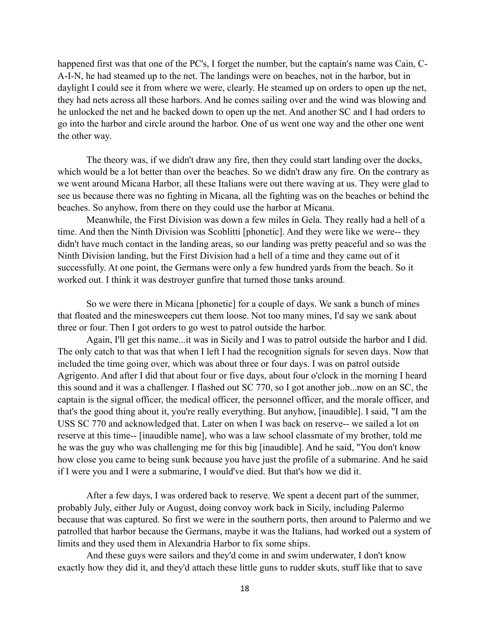happened first was that one of the PC's, I forget the number, but the captain's name was Cain, C-A-I-N, he had steamed up to the net. The landings were on beaches, not in the harbor, but in daylight I could see it from where we were, clearly. He steamed up on orders to open up the net, they had nets across all these harbors. And he comes sailing over and the wind was blowing and he unlocked the net and he backed down to open up the net. And another SC and I had orders to go into the harbor and circle around the harbor. One of us went one way and the other one went the other way.

The theory was, if we didn't draw any fire, then they could start landing over the docks, which would be a lot better than over the beaches. So we didn't draw any fire. On the contrary as we went around Micana Harbor, all these Italians were out there waving at us. They were glad to see us because there was no fighting in Micana, all the fighting was on the beaches or behind the beaches. So anyhow, from there on they could use the harbor at Micana.

Meanwhile, the First Division was down a few miles in Gela. They really had a hell of a time. And then the Ninth Division was Scoblitti [phonetic]. And they were like we were-- they didn't have much contact in the landing areas, so our landing was pretty peaceful and so was the Ninth Division landing, but the First Division had a hell of a time and they came out of it successfully. At one point, the Germans were only a few hundred yards from the beach. So it worked out. I think it was destroyer gunfire that turned those tanks around.

So we were there in Micana [phonetic] for a couple of days. We sank a bunch of mines that floated and the minesweepers cut them loose. Not too many mines, I'd say we sank about three or four. Then I got orders to go west to patrol outside the harbor.

Again, I'll get this name...it was in Sicily and I was to patrol outside the harbor and I did. The only catch to that was that when I left I had the recognition signals for seven days. Now that included the time going over, which was about three or four days. I was on patrol outside Agrigento. And after I did that about four or five days, about four o'clock in the morning I heard this sound and it was a challenger. I flashed out SC 770, so I got another job...now on an SC, the captain is the signal officer, the medical officer, the personnel officer, and the morale officer, and that's the good thing about it, you're really everything. But anyhow, [inaudible]. I said, "I am the USS SC 770 and acknowledged that. Later on when I was back on reserve-- we sailed a lot on reserve at this time-- [inaudible name], who was a law school classmate of my brother, told me he was the guy who was challenging me for this big [inaudible]. And he said, "You don't know how close you came to being sunk because you have just the profile of a submarine. And he said if I were you and I were a submarine, I would've died. But that's how we did it.

After a few days, I was ordered back to reserve. We spent a decent part of the summer, probably July, either July or August, doing convoy work back in Sicily, including Palermo because that was captured. So first we were in the southern ports, then around to Palermo and we patrolled that harbor because the Germans, maybe it was the Italians, had worked out a system of limits and they used them in Alexandria Harbor to fix some ships.

And these guys were sailors and they'd come in and swim underwater, I don't know exactly how they did it, and they'd attach these little guns to rudder skuts, stuff like that to save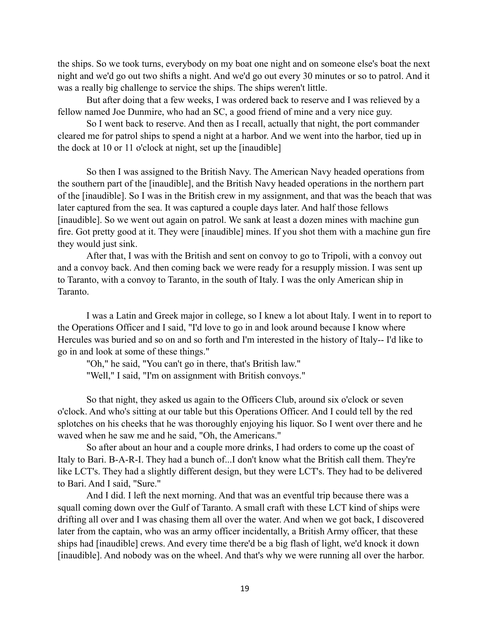the ships. So we took turns, everybody on my boat one night and on someone else's boat the next night and we'd go out two shifts a night. And we'd go out every 30 minutes or so to patrol. And it was a really big challenge to service the ships. The ships weren't little.

But after doing that a few weeks, I was ordered back to reserve and I was relieved by a fellow named Joe Dunmire, who had an SC, a good friend of mine and a very nice guy.

So I went back to reserve. And then as I recall, actually that night, the port commander cleared me for patrol ships to spend a night at a harbor. And we went into the harbor, tied up in the dock at 10 or 11 o'clock at night, set up the [inaudible]

So then I was assigned to the British Navy. The American Navy headed operations from the southern part of the [inaudible], and the British Navy headed operations in the northern part of the [inaudible]. So I was in the British crew in my assignment, and that was the beach that was later captured from the sea. It was captured a couple days later. And half those fellows [inaudible]. So we went out again on patrol. We sank at least a dozen mines with machine gun fire. Got pretty good at it. They were [inaudible] mines. If you shot them with a machine gun fire they would just sink.

After that, I was with the British and sent on convoy to go to Tripoli, with a convoy out and a convoy back. And then coming back we were ready for a resupply mission. I was sent up to Taranto, with a convoy to Taranto, in the south of Italy. I was the only American ship in Taranto.

I was a Latin and Greek major in college, so I knew a lot about Italy. I went in to report to the Operations Officer and I said, "I'd love to go in and look around because I know where Hercules was buried and so on and so forth and I'm interested in the history of Italy-- I'd like to go in and look at some of these things."

"Oh," he said, "You can't go in there, that's British law."

"Well," I said, "I'm on assignment with British convoys."

So that night, they asked us again to the Officers Club, around six o'clock or seven o'clock. And who's sitting at our table but this Operations Officer. And I could tell by the red splotches on his cheeks that he was thoroughly enjoying his liquor. So I went over there and he waved when he saw me and he said, "Oh, the Americans."

So after about an hour and a couple more drinks, I had orders to come up the coast of Italy to Bari. B-A-R-I. They had a bunch of...I don't know what the British call them. They're like LCT's. They had a slightly different design, but they were LCT's. They had to be delivered to Bari. And I said, "Sure."

And I did. I left the next morning. And that was an eventful trip because there was a squall coming down over the Gulf of Taranto. A small craft with these LCT kind of ships were drifting all over and I was chasing them all over the water. And when we got back, I discovered later from the captain, who was an army officer incidentally, a British Army officer, that these ships had [inaudible] crews. And every time there'd be a big flash of light, we'd knock it down [inaudible]. And nobody was on the wheel. And that's why we were running all over the harbor.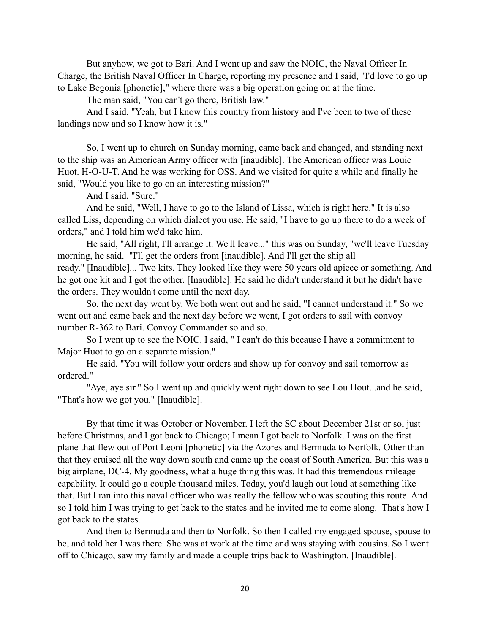But anyhow, we got to Bari. And I went up and saw the NOIC, the Naval Officer In Charge, the British Naval Officer In Charge, reporting my presence and I said, "I'd love to go up to Lake Begonia [phonetic]," where there was a big operation going on at the time.

The man said, "You can't go there, British law."

And I said, "Yeah, but I know this country from history and I've been to two of these landings now and so I know how it is."

So, I went up to church on Sunday morning, came back and changed, and standing next to the ship was an American Army officer with [inaudible]. The American officer was Louie Huot. H-O-U-T. And he was working for OSS. And we visited for quite a while and finally he said, "Would you like to go on an interesting mission?"

And I said, "Sure."

And he said, "Well, I have to go to the Island of Lissa, which is right here." It is also called Liss, depending on which dialect you use. He said, "I have to go up there to do a week of orders," and I told him we'd take him.

He said, "All right, I'll arrange it. We'll leave..." this was on Sunday, "we'll leave Tuesday morning, he said. "I'll get the orders from [inaudible]. And I'll get the ship all ready." [Inaudible]... Two kits. They looked like they were 50 years old apiece or something. And he got one kit and I got the other. [Inaudible]. He said he didn't understand it but he didn't have the orders. They wouldn't come until the next day.

So, the next day went by. We both went out and he said, "I cannot understand it." So we went out and came back and the next day before we went, I got orders to sail with convoy number R-362 to Bari. Convoy Commander so and so.

So I went up to see the NOIC. I said, " I can't do this because I have a commitment to Major Huot to go on a separate mission."

He said, "You will follow your orders and show up for convoy and sail tomorrow as ordered."

"Aye, aye sir." So I went up and quickly went right down to see Lou Hout...and he said, "That's how we got you." [Inaudible].

By that time it was October or November. I left the SC about December 21st or so, just before Christmas, and I got back to Chicago; I mean I got back to Norfolk. I was on the first plane that flew out of Port Leoni [phonetic] via the Azores and Bermuda to Norfolk. Other than that they cruised all the way down south and came up the coast of South America. But this was a big airplane, DC-4. My goodness, what a huge thing this was. It had this tremendous mileage capability. It could go a couple thousand miles. Today, you'd laugh out loud at something like that. But I ran into this naval officer who was really the fellow who was scouting this route. And so I told him I was trying to get back to the states and he invited me to come along. That's how I got back to the states.

And then to Bermuda and then to Norfolk. So then I called my engaged spouse, spouse to be, and told her I was there. She was at work at the time and was staying with cousins. So I went off to Chicago, saw my family and made a couple trips back to Washington. [Inaudible].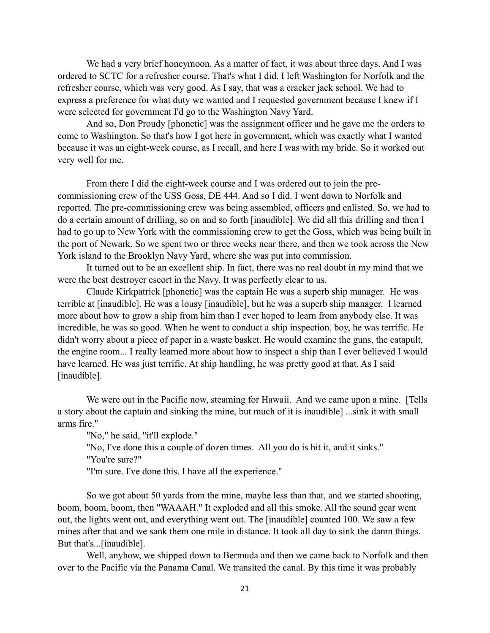We had a very brief honeymoon. As a matter of fact, it was about three days. And I was ordered to SCTC for a refresher course. That's what I did. I left Washington for Norfolk and the refresher course, which was very good. As I say, that was a cracker jack school. We had to express a preference for what duty we wanted and I requested government because I knew if I were selected for government I'd go to the Washington Navy Yard.

And so, Don Proudy [phonetic] was the assignment officer and he gave me the orders to come to Washington. So that's how I got here in government, which was exactly what I wanted because it was an eight-week course, as I recall, and here I was with my bride. So it worked out very well for me.

From there I did the eight-week course and I was ordered out to join the precommissioning crew of the USS Goss, DE 444. And so I did. I went down to Norfolk and reported. The pre-commissioning crew was being assembled, officers and enlisted. So, we had to do a certain amount of drilling, so on and so forth [inaudible]. We did all this drilling and then I had to go up to New York with the commissioning crew to get the Goss, which was being built in the port of Newark. So we spent two or three weeks near there, and then we took across the New York island to the Brooklyn Navy Yard, where she was put into commission.

It turned out to be an excellent ship. In fact, there was no real doubt in my mind that we were the best destroyer escort in the Navy. It was perfectly clear to us.

Claude Kirkpatrick [phonetic] was the captain He was a superb ship manager. He was terrible at [inaudible]. He was a lousy [inaudible], but he was a superb ship manager. I learned more about how to grow a ship from him than I ever hoped to learn from anybody else. It was incredible, he was so good. When he went to conduct a ship inspection, boy, he was terrific. He didn't worry about a piece of paper in a waste basket. He would examine the guns, the catapult, the engine room... I really learned more about how to inspect a ship than I ever believed I would have learned. He was just terrific. At ship handling, he was pretty good at that. As I said [inaudible].

We were out in the Pacific now, steaming for Hawaii. And we came upon a mine. [Tells a story about the captain and sinking the mine, but much of it is inaudible] ...sink it with small arms fire."

"No," he said, "it'll explode."

"No, I've done this a couple of dozen times. All you do is hit it, and it sinks." "You're sure?"

"I'm sure. I've done this. I have all the experience."

So we got about 50 yards from the mine, maybe less than that, and we started shooting, boom, boom, boom, then "WAAAH." It exploded and all this smoke. All the sound gear went out, the lights went out, and everything went out. The [inaudible] counted 100. We saw a few mines after that and we sank them one mile in distance. It took all day to sink the damn things. But that's...[inaudible].

Well, anyhow, we shipped down to Bermuda and then we came back to Norfolk and then over to the Pacific via the Panama Canal. We transited the canal. By this time it was probably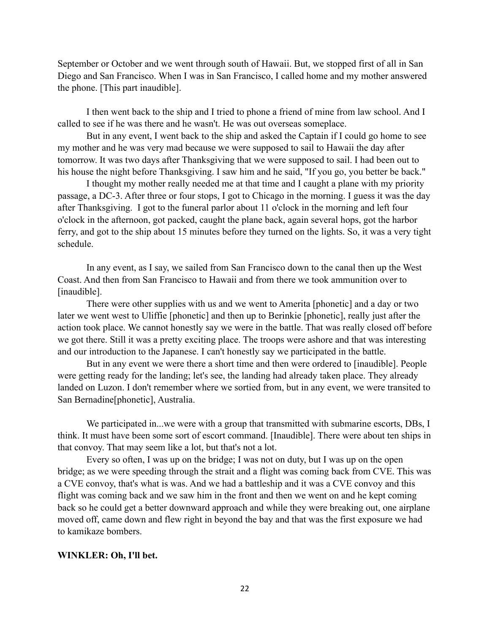September or October and we went through south of Hawaii. But, we stopped first of all in San Diego and San Francisco. When I was in San Francisco, I called home and my mother answered the phone. [This part inaudible].

I then went back to the ship and I tried to phone a friend of mine from law school. And I called to see if he was there and he wasn't. He was out overseas someplace.

But in any event, I went back to the ship and asked the Captain if I could go home to see my mother and he was very mad because we were supposed to sail to Hawaii the day after tomorrow. It was two days after Thanksgiving that we were supposed to sail. I had been out to his house the night before Thanksgiving. I saw him and he said, "If you go, you better be back."

I thought my mother really needed me at that time and I caught a plane with my priority passage, a DC-3. After three or four stops, I got to Chicago in the morning. I guess it was the day after Thanksgiving. I got to the funeral parlor about 11 o'clock in the morning and left four o'clock in the afternoon, got packed, caught the plane back, again several hops, got the harbor ferry, and got to the ship about 15 minutes before they turned on the lights. So, it was a very tight schedule.

In any event, as I say, we sailed from San Francisco down to the canal then up the West Coast. And then from San Francisco to Hawaii and from there we took ammunition over to [inaudible].

There were other supplies with us and we went to Amerita [phonetic] and a day or two later we went west to Uliffie [phonetic] and then up to Berinkie [phonetic], really just after the action took place. We cannot honestly say we were in the battle. That was really closed off before we got there. Still it was a pretty exciting place. The troops were ashore and that was interesting and our introduction to the Japanese. I can't honestly say we participated in the battle.

But in any event we were there a short time and then were ordered to [inaudible]. People were getting ready for the landing; let's see, the landing had already taken place. They already landed on Luzon. I don't remember where we sortied from, but in any event, we were transited to San Bernadine[phonetic], Australia.

We participated in...we were with a group that transmitted with submarine escorts, DBs, I think. It must have been some sort of escort command. [Inaudible]. There were about ten ships in that convoy. That may seem like a lot, but that's not a lot.

Every so often, I was up on the bridge; I was not on duty, but I was up on the open bridge; as we were speeding through the strait and a flight was coming back from CVE. This was a CVE convoy, that's what is was. And we had a battleship and it was a CVE convoy and this flight was coming back and we saw him in the front and then we went on and he kept coming back so he could get a better downward approach and while they were breaking out, one airplane moved off, came down and flew right in beyond the bay and that was the first exposure we had to kamikaze bombers.

#### **WINKLER: Oh, I'll bet.**